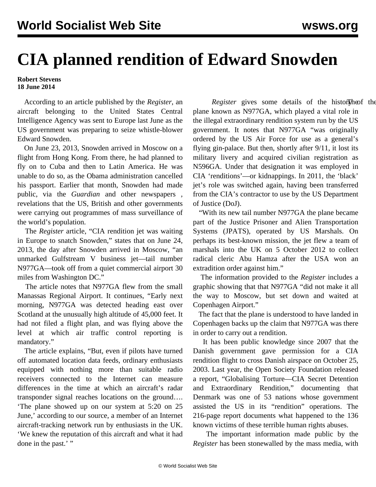## **CIA planned rendition of Edward Snowden**

## **Robert Stevens 18 June 2014**

 According to an article published by the *Register*, an aircraft belonging to the United States Central Intelligence Agency was sent to Europe last June as the US government was preparing to seize whistle-blower Edward Snowden.

 On June 23, 2013, Snowden arrived in Moscow on a flight from Hong Kong. From there, he had planned to fly on to Cuba and then to Latin America. He was unable to do so, as the Obama administration cancelled his passport. Earlier that month, Snowden had made public, via the *Guardian* and other newspapers *,* revelations that the US, British and other governments were carrying out programmes of mass surveillance of the world's population.

 The *Register* article, "CIA rendition jet was waiting in Europe to snatch Snowden," states that on June 24, 2013, the day after Snowden arrived in Moscow, "an unmarked Gulfstream V business jet—tail number N977GA—took off from a quiet commercial airport 30 miles from Washington DC."

 The article notes that N977GA flew from the small Manassas Regional Airport. It continues, "Early next morning, N977GA was detected heading east over Scotland at the unusually high altitude of 45,000 feet. It had not filed a flight plan, and was flying above the level at which air traffic control reporting is mandatory."

 The article explains, "But, even if pilots have turned off automated location data feeds, ordinary enthusiasts equipped with nothing more than suitable radio receivers connected to the Internet can measure differences in the time at which an aircraft's radar transponder signal reaches locations on the ground…. 'The plane showed up on our system at 5:20 on 25 June,' according to our source, a member of an Internet aircraft-tracking network run by enthusiasts in the UK. 'We knew the reputation of this aircraft and what it had done in the past.' "

Register gives some details of the historlyheof the plane known as N977GA, which played a vital role in the illegal extraordinary rendition system run by the US government. It notes that N977GA "was originally ordered by the US Air Force for use as a general's flying gin-palace. But then, shortly after 9/11, it lost its military livery and acquired civilian registration as N596GA. Under that designation it was employed in CIA 'renditions'—or kidnappings. In 2011, the 'black' jet's role was switched again, having been transferred from the CIA's contractor to use by the US Department of Justice (DoJ).

 "With its new tail number N977GA the plane became part of the Justice Prisoner and Alien Transportation Systems (JPATS), operated by US Marshals. On perhaps its best-known mission, the jet flew a team of marshals into the UK on 5 October 2012 to collect radical cleric Abu Hamza after the USA won an extradition order against him."

 The information provided to the *Register* includes [a](http://regmedia.co.uk/2014/06/12/snowjetrack.png) [graphic](http://regmedia.co.uk/2014/06/12/snowjetrack.png) showing that that N977GA "did not make it all the way to Moscow, but set down and waited at Copenhagen Airport."

 The fact that the plane is understood to have landed in Copenhagen backs up the claim that N977GA was there in order to carry out a rendition.

 It has been public knowledge since 2007 that the Danish government gave permission for a CIA rendition flight to cross Danish airspace on October 25, 2003. Last year, the Open Society Foundation released a report, "Globalising Torture—CIA Secret Detention and Extraordinary Rendition," documenting that Denmark was one of 53 nations whose government assisted the US in its "rendition" operations. The 216-page report documents what happened to the 136 known victims of these terrible human rights abuses.

 The important information made public by the *Register* has been stonewalled by the mass media, with